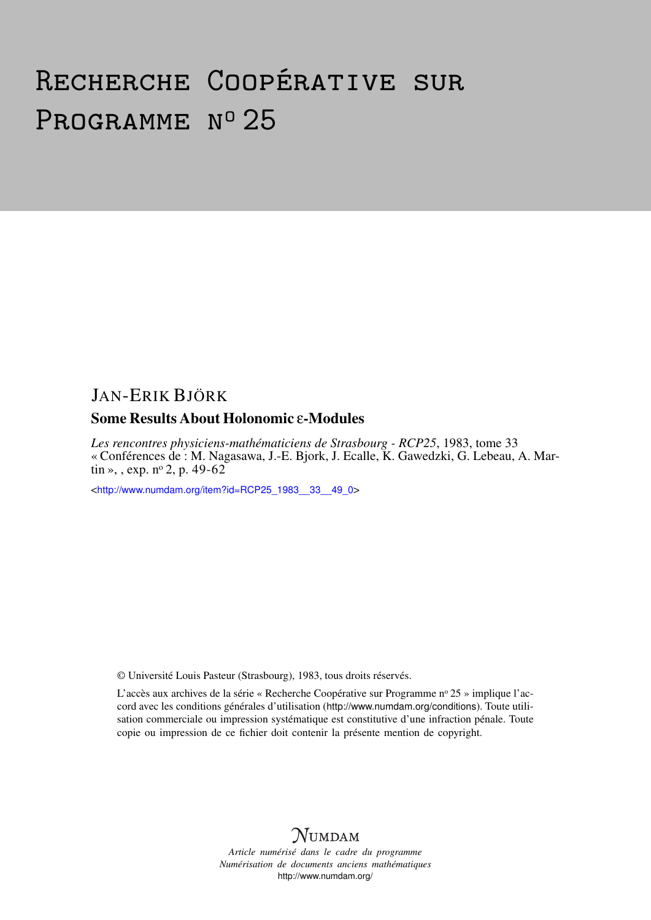# Recherche Coopérative sur PROGRAMME Nº 25

### JAN-ERIK BJÖRK

### Some Results About Holonomic ε-Modules

*Les rencontres physiciens-mathématiciens de Strasbourg - RCP25*, 1983, tome 33 « Conférences de : M. Nagasawa, J.-E. Bjork, J. Ecalle, K. Gawedzki, G. Lebeau, A. Martin », , exp.  $n^{\circ}$  2, p. 49-62

<[http://www.numdam.org/item?id=RCP25\\_1983\\_\\_33\\_\\_49\\_0](http://www.numdam.org/item?id=RCP25_1983__33__49_0)>

© Université Louis Pasteur (Strasbourg), 1983, tous droits réservés.

L'accès aux archives de la série « Recherche Coopérative sur Programme nº 25 » implique l'accord avec les conditions générales d'utilisation (<http://www.numdam.org/conditions>). Toute utilisation commerciale ou impression systématique est constitutive d'une infraction pénale. Toute copie ou impression de ce fichier doit contenir la présente mention de copyright.



*Article numérisé dans le cadre du programme Numérisation de documents anciens mathématiques* <http://www.numdam.org/>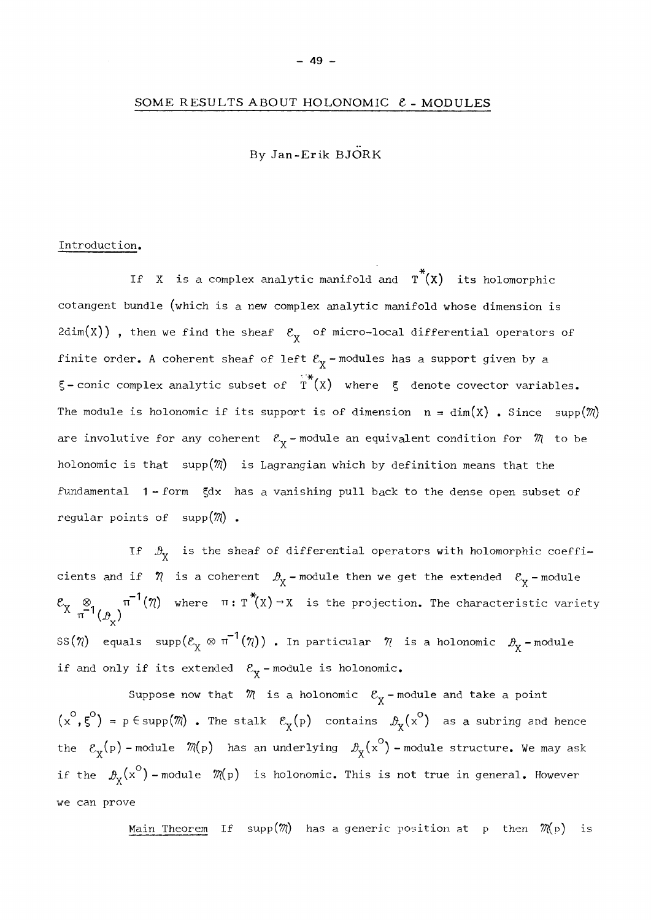#### SOME RESULTS ABOUT HOLONOMIC  $\ell$  - MODULES

By Jan-Erik BJÖRK

#### Introduction,

If X is a complex analytic manifold and  $T^*(X)$  its holomorphic cotangent bundle (which is a new complex analytic manifold whose dimension is 2dim(X)), then we find the sheaf  $\mathcal{E}_{\chi}$  of micro-local differential operators of finite order. A coherent sheaf of left  $\mathcal{E}_{\chi}$  - modules has a support given by a  $\xi$  - conic complex analytic subset of  $\tilde{T}^*(X)$  where  $\xi$  denote covector variables. The module is holonomic if its support is of dimension  $n = dim(X)$ . Since  $supp(\mathcal{M})$ are involutive for any coherent  $\mathcal{E}_{\mathbf{X}}$  - module an equivalent condition for  $\mathcal{M}$  to be holonomic is that supp $(\mathcal{M})$  is Lagrangian which by definition means that the fundamental 1-form 5dx has a vanishing pull back to the dense open subset of regular points of  $supp(\mathcal{M})$ .

If  $\mathcal{B}_{y}$  is the sheaf of differential operators with holomorphic coefficients and if  $\eta$  is a coherent  $\mathcal{B}_{\chi}$  - module then we get the extended  $\mathcal{E}_{\chi}$  - module  $\overline{A}$  x  $\overline{A}$  x  $\overline{A}$  x  $\overline{A}$  x  $\overline{A}$  x  $\overline{A}$  x  $\overline{A}$  x  $\overline{A}$  x  $\overline{A}$  x  $\overline{A}$  x  $\overline{A}$  x  $\overline{A}$  x  $\overline{A}$  x  $\overline{A}$  x  $\overline{A}$  x  $\overline{A}$  x  $\overline{A}$  x  $\overline{A}$  x  $\overline{A}$  x  $\overline{A}$  x  $\mathbb{P}^1_{(\beta)}$ <sup>1</sup>  $T^*_{\infty}$  $2011$  $S_{\rm tot}(7)$  equals supp( $C_{\rm X}$   $\stackrel{\text{def}}{=}$   $\frac{1}{2}$   $\frac{1}{2}$  a holonomic  $\frac{1}{2}$   $\frac{1}{2}$  module if and only if its extended  $\mathcal{E}_{\mathbf{X}}$  - module is holonomic.

Suppose now that  $~\mathbb{W}~$  is a holonomic  $~\mathcal{E}_{\mathbf{X}}$  -module and take a point  $(x^*,\xi^*)$  = p  $\in$  supp $(\mathcal{M})$  . The stalk  $\mathcal{E}_{\mathbf{v}}(p)$  contains  $\mathcal{D}_{\mathbf{v}}(x^*)$  as a subring and hence χρηματικός και το προσωπικός και το προσωπικός και το προσωπικός και το προσωπικός και το προσωπικός και το πρ<br>Στην επιστήματα το προσωπικό του προσωπικό του προσωπικό του προσωπικό του προσωπικό του προσωπικό του προσωπι the  $\mathcal{E}_{\mathbf{v}}(\mathrm{p})$  -module  $\mathcal{M}(\mathrm{p})$  has an underlying  $\mathcal{P}_{\mathbf{v}}(\mathrm{x}^{\vee})$  -module structure. We may ask  $\ddot{\phantom{a}}$ if the  $\mathcal{B}_{\rm X}^{\phantom i}(\rm x\degree)$  -module  $\mathcal{M}\!\left(\rm p\right)$  is holonomic. This is not true in general. However we can prove

Main Theorem If supp $(\mathcal{M})$  has a generic position at p then  $\mathcal{M}(p)$  is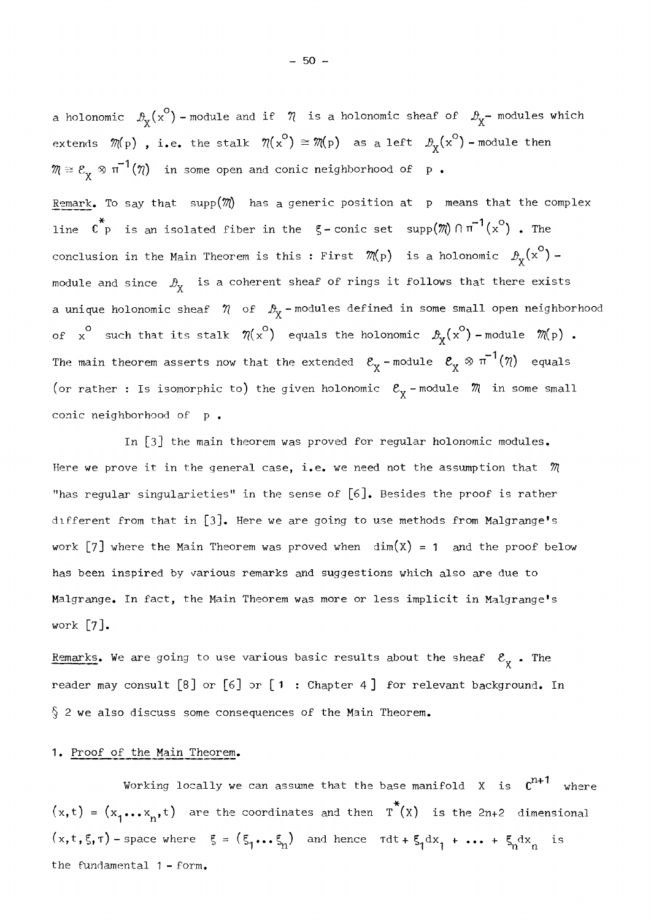a holonomic  $\mathcal{P}_{\chi}(\mathbf{x}^{\circ})$  - module and if  $\eta$  is a holonomic sheaf of  $\mathcal{P}_{\chi}$ - modules which extends  $\mathcal{M}(p)$  , i.e. the stalk  $\mathcal{N}(x^{\circ}) \cong \mathcal{M}(p)$  as a left  $\mathcal{B}_X(x^{\circ})$  - module then  $m \cong \mathcal{E}_{\mathbf{X}} \otimes \pi^{-1}(\eta)$  in some open and conic neighborhood of  $p$ .

Remark. To say that  $supp(\mathcal{M})$  has a generic position at p means that the complex line  $\,$  C  $_{\rm P}$  is an isolated fiber in the  $\,$  C -conic set  $\,$  supp $(\mathcal{M}) \,$   $\cap$  T  $\,$   $\,$   $\,$  (x  $\,$  )  $\,$  . The conclusion in the Main Theorem is this : First  $\mathcal{M}_{P}$ ) is a holonomic  $\mathcal{B}_{\mathbf{X}}(\mathbf{x}^{\circ})$  module and since  $\Delta_{\rm v}$  is a coherent sheaf of rings it follows that there exists *x.*  a unique holonomic sheaf  $\eta$  of  $\mathcal{B}_{\chi}$ -modules defined in some small open neighborhood of x<sup>°</sup> such that its stalk  $\pi(x^\circ)$  equals the holonomic  $\mathcal{B}_X(x^\circ)$  -module  $\pi(p)$  . The main theorem asserts now that the extended  $\mathcal{E}_{\chi}$ -module  $\mathcal{E}_{\chi} \otimes \pi^{-1}(\eta)$  equals (or rather : Is isomorphic to) the given holonomic  $\mathcal{E}_{\chi}$  -module  $\mathcal{M}$  in some small conic neighborhood of p.

In [3] the main theorem vas proved for regular holonomic modules. Here we prove it in the general case, i.e. we need not the assumption that  $m$ "has regular singularieties" in the sensé of [6]. Besides the proof is rather different from that in  $\lceil 3 \rceil$ . Here we are going to use methods from Malgrange's work [7] where the Main Theorem was proved when  $dim(X) = 1$  and the proof below has been inspired by various remarks and suggestions which also are due to Malgrange. In fact, the Main Theorem was more or less implicit in Malgrange's  $\mathbb{R}^2$  .  $\mathbb{R}^2$ 

Remarks. We are going to use various basic results about the sheaf  $\begin{array}{c} {\mathcal E}_\chi$  . The reader may consult [8] or [6] or [1 : Chapter 4] for relevant background. In  $\S$  2 we also discuss some consequences of the Main Theorem.

#### 1. Proof of the Main Theorem.

Working locally we can assume that the base manifold  $x$  is  $c^{n+1}$  where  $(x, t) = (x_1 \dots x_n, t)$  are the coordinates and then  $\overline{T}^*(X)$  is the 2n+2 dimensional  $(x, t, \xi, \tau)$  - space where  $\xi = (\xi_1 \dots \xi_n)$  and hence  $\tau dt + \xi_1 dx_1 + \dots + \xi_n dx_n$  is the fundamental  $1$  - form.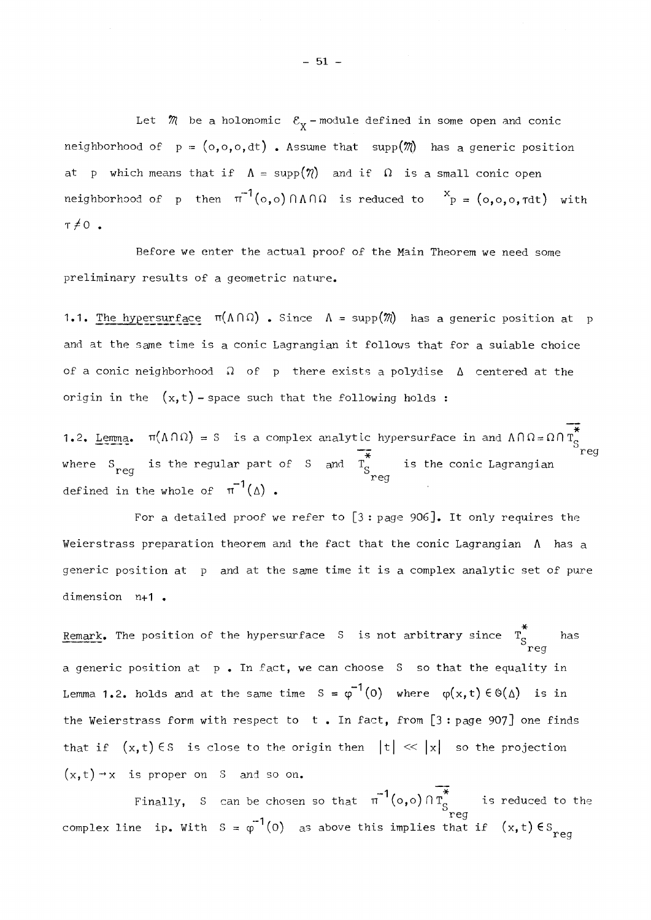Let  $\mathcal{M}$  be a holonomic  $\mathcal{E}_{\mathbf{y}}$ -module defined in some open and conic neighborhood of  $p = (o, o, o, dt)$ . Assume that supp $(\mathcal{M})$  has a generic position at p which means that if  $\Lambda = \text{supp}(\eta)$  and if  $\Omega$  is a small conic open neighborhood of p then  $\pi'(\circ,\circ)\cap\Lambda\cap\Omega$  is reduced to ´p = (o,o,o, $\tau$ dt) with  $T \neq 0$ .

Before we enter the actual proof of the Main Theorem we need some preliminary results of a geometric nature.

**1.1.** The hypersurface  $\pi(\Lambda \cap \Omega)$  . Since  $\Lambda = \text{supp}(\mathcal{M})$  has a generic position at p and at the same time is a conic Lagrangian it follows that for a suiable choice of a conic neighborhood  $\Omega$  of p there exists a polydise  $\Delta$  centered at the origin in the  $(x,t)$  - space such that the following holds :

1.2. <u>Lemma</u>.  $\pi(\Lambda\cap\Omega)$  = S is a complex analytic hypersurface in and ΛΠΩ=ΩΠΤ<sub>ς</sub>  $\frac{1}{x}$  reg where  $S_{\text{max}}$  is the regular part of S and  $T_c$  is the conic Lagrangian defined in the whole of  $\pi^{-1}(\Delta)$ .

For a detailed proof we refer to  $[3:p_0]$ . It only requires the Weierstrass preparation theorem and the fact that the conic Lagrangian  $\Lambda$  has a generic position at p and at the same time it is a complex analytic set of pure dimension n+1 .

Remark. The position of the hypersurface S is not arbitrary since T<sub>c</sub> has reg a generic position at  $p$ . In fact, we can choose S so that the equality in Lemma 1.2. holds and at the same time  $S = \varphi^{-1}(0)$  where  $\varphi(x,t) \in \Theta(\Delta)$  is in the Weierstrass form with respect to t . In fact, from [3 : page 907] one finds that if  $(x, t) \in S$  is close to the origin then  $|t| \ll |x|$  so the projection  $(x, y)$ .  $x$  is proper on S and so on.

Finally, S can be chosen so that  $(0,0)$  if  $s$  is reduced to the complex line tp. with  $s = \phi \ (0)$  as above this implies that if  $(x, t) \in s$  reg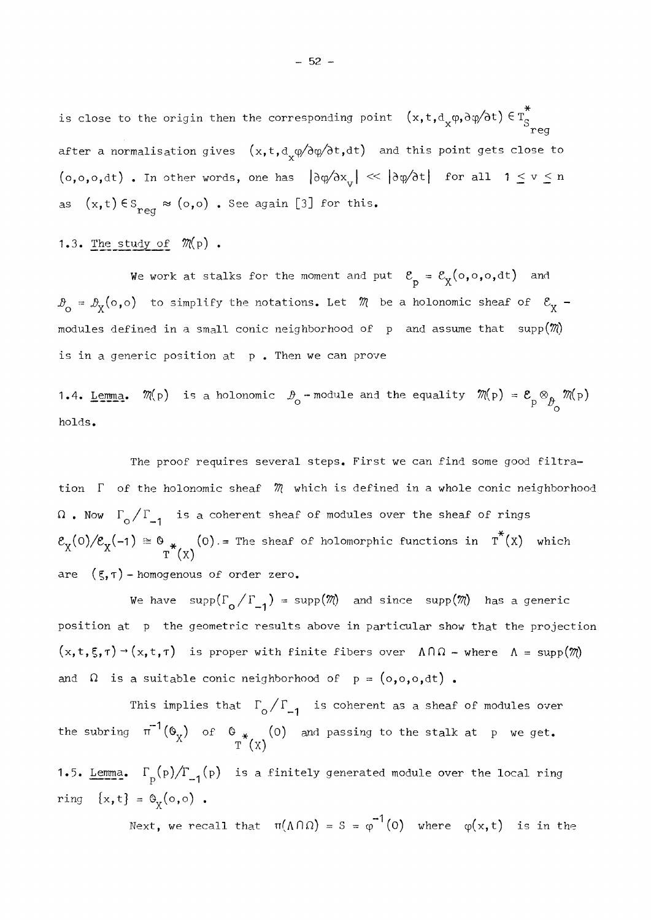is close to the origin then the corresponding point  $\;\;( \mathrm{x},\mathrm{t},\mathrm{d}_\mathrm{v}\phi,\mathrm{\partial}\psi/\mathrm{\partial}\mathrm{t} ) \in \mathbb{T}_\mathrm{S}$ reg after a normalisation gives  $(x,t,d_x\varphi/\partial\varphi/\partial t,dt)$  and this point gets close to  $(0,0,0,dt)$  . In other words, one has  $|\partial \phi / \partial x_{\overline{v}}| \ll |\partial \phi / \partial t|$  for all  $1 \leq v \leq n$  $reg$  ( $s \rightarrow s$ )  $\bullet$  soo again [3] see this.

### 1.3. The study of  $\mathcal{M}(p)$  .

We work at stalks for the moment and put  $\mathcal{E}_{\infty} = \mathcal{E}_{\mathbf{v}}(\circ, \circ, \circ, \text{dt})$  and *<sup>1</sup> </sup> <sup>1</sup>*  $\vartheta_{\mathtt{a}}=\vartheta_{\mathtt{v}}(\mathtt{o},\mathtt{o})$  to simplify the notations. Let  $\mathscr{M}$  be a holonomic sheaf of  $\mathscr{E}_{\mathtt{v}}$  -X X. modules defined in a small conic neighborhood of and assume that supplies  $\mathcal{C}^{\mathcal{A}}$ is in a generic position at p. Then we can prove

1.4. <u>Lemma</u>.  $\mathcal{M}(p)$  is a holonomic  $\mathcal{P}_{\rho}$  -module and the equality  $\mathcal{M}(p)$  =  $\mathcal{E}_{\rho}\otimes_{\mathbf{A}}\mathcal{M}(p)$  $P - \nu_{\rm O}$ holds.

The proof requires several steps. First we can find some good filtration  $\Gamma$  of the holonomic sheaf  $m$  which is defined in a whole conic neighborhood . Now  $\Gamma^{\phantom{1}}_{\rm O}/\Gamma^{\phantom{1}}_{\bf -1}$  is a coherent sheaf of modules over the sheaf of rings  $(\sigma)/\mathcal{E}_{\mathbf{v}}(-1) \cong \mathbb{0}$  (0) = The sheaf of holomorphic functions in T (X) which  $\Gamma$  (X) are  $(5, \tau)$  - homogenous of order zero.

We have supp( $\Gamma_0 / \Gamma_{-1}$ ) = supp(*M*() and since supp(*M*() has a generic position at p the geometric results above in particular show that the projection  $(x, t, \zeta, \tau)$   $\rightarrow$   $(x, t, \tau)$  is proper with finite fibers over  $\Lambda \cap \Omega$  - where  $\Lambda = \text{supp}(\mathbb{W})$ and  $\Omega$  is a suitable conic neighborhood of  $p = (o, o, o, dt)$ .

This implies that  $\Gamma_{\text{o}}/\Gamma_{\text{m1}}$  is coherent as a sheaf of modules over the subring  $\pi$  '(O<sub>X</sub>) of O<sub>\*</sub> (O) and passing to the stalk at p we get.<br> $\pi$ <sup>(</sup>X) 1.5. Lemma.  $\Gamma_p(p)/\Gamma_{-1}(p)$  is a finitely generated module over the local ring ring  $\{x,t\} = \Theta_{x}(0,0)$ .

Next, we recall that  $\pi(\Lambda \cap \Omega) = S = \varphi^{-1}(0)$  where  $\varphi(x,t)$  is in the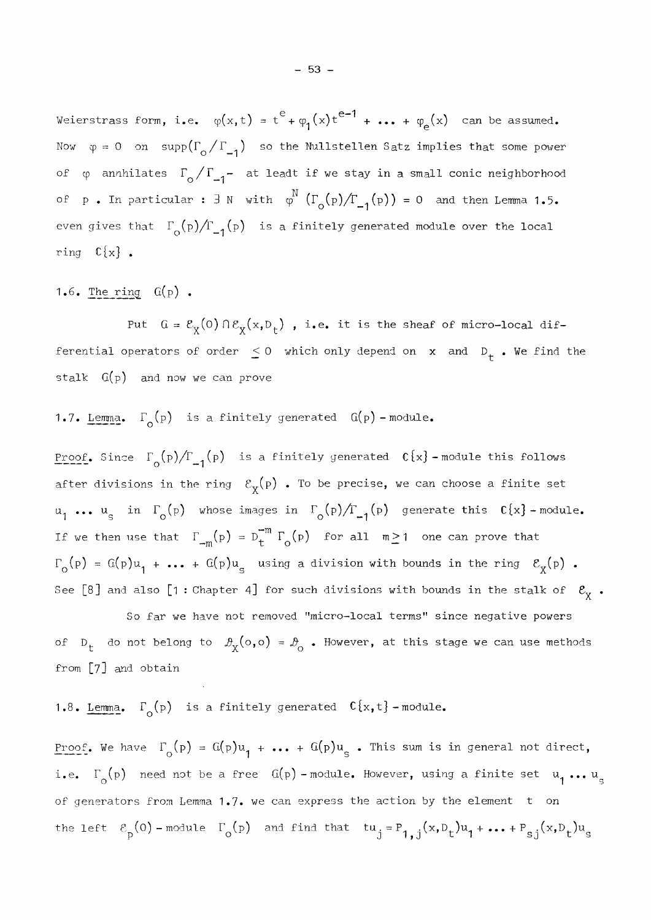Weierstrass form, i.e.  $\varphi(x,t) = t^e + \varphi_1(x)t^{e-1} + \cdots + \varphi_e(x)$  can be assumed. Now  $\varphi = 0$  on supp $(\Gamma_0 / \Gamma_{-1})$  so the Nullstellen Satz implies that some power of  $\varphi$  annhilates  $\Gamma_0 / \Gamma_{-1}$  at leadt if we stay in a small conic neighborhood of p. In particular :  $\exists N$  with  $\varphi^N(\Gamma_{\Omega}(p)/\Gamma_{-1}(p)) = 0$  and then Lemma 1.5. even gives that  $\Gamma_{\text{o}}(p)/\Gamma_{-1}(p)$  is a finitely generated module over the local ring  $\mathbb{C}\{x\}$ .

1.6. The ring  $G(p)$ .

Put  $G = \mathcal{E}_{\chi}(0) \cap \mathcal{E}_{\chi}(x, D_{\dagger})$ , i.e. it is the sheaf of micro-local differential opérators of order  $\mathcal{L}$ stalk  $G(p)$  and now we can prove

### 1.7. Lemma.  $\Gamma_{\alpha}(p)$  is a finitely generated  $G(p)$  -module.

Proof. Since  $\Gamma_{0}(p)/\Gamma_{-1}(p)$  is a finitely generated  $C(x)$  -module this follows after divisions in the ring  $\mathcal{E}_{\mathbf{X}}(\mathbf{p})$  . To be precise, we can choose a finite set  $\mathbf{r}$ ...  $u_{\alpha}$  in  $\Gamma_{\alpha}(p)$  whose images in  $\Gamma_{\alpha}(p)/\Gamma_{\alpha}(p)$  generate this  $C\{x\}$ -module. If we then use that  $\Gamma_{-m}(p) = D_t^{-m} \Gamma_o(p)$  for all  $m \ge 1$  one can prove that  $\mathbf{m}$  ,  $\mathbf{v}$  ,  $\mathbf{v}$  ,  $\mathbf{v}$  ,  $\mathbf{v}$  ,  $\mathbf{v}$  ,  $\mathbf{v}$  ,  $\mathbf{v}$  ,  $\mathbf{v}$  ,  $\mathbf{v}$  ,  $\mathbf{v}$  ,  $\mathbf{v}$  ,  $\mathbf{v}$  ,  $\mathbf{v}$  ,  $\mathbf{v}$  ,  $\mathbf{v}$  ,  $\mathbf{v}$  ,  $\mathbf{v}$  ,  $\mathbf{v}$  ,  $\mathbf{v}$  ,  $\mathcal{L}_c(p) = G(p)u_1 + \ldots + G(p)u_n$  using a division with bounds in the ring  $\mathcal{E}_v(p)$ . Ί, δεν είναι το δεν είναι το δεν είναι το δεν είναι το δεν είναι το δεν είναι το δεν είναι το δεν είναι το δεν ε See [8] and also [1: Chapter 4] for such divisions with bounds in the stalk of  $\mathcal{E}_{\mathbf{y}}$ .

So far we have not removed "micro-local terms" since negative powers of D<sub>t</sub> do not belong to  $\mathcal{B}_{\chi}(\circ,\circ) = \mathcal{B}_{\circ}$  . However, at this stage we can use methods from [7] and obtain

### 1.8. Lemma.  $\Gamma_{\text{o}}(p)$  is a finitely generated  $C\{x,t\}$ -module.

 $\frac{1}{2}$ i.e.  $\Gamma_{\text{o}}(p)$  need not be a free  $G(p)$  - module. However, using a finite set  $u_1 \ldots u_s$ of generators from Lemma 1.7, we can express the action by the element  $\pm$  on of generators from Lemma 1.7· we can express the action by the élément t on the left  $\mathcal{E}_{\rm p}(0)$  -module  $\Gamma_{\rm o}({\rm p})$  and find that  $\rm tu_{\rm j}$  =  $\rm P_{1,\rm j}(x, D_{\rm t})u_{\rm j}$  + ... +  $\rm P_{\rm sj}(x, D_{\rm t})u_{\rm s}$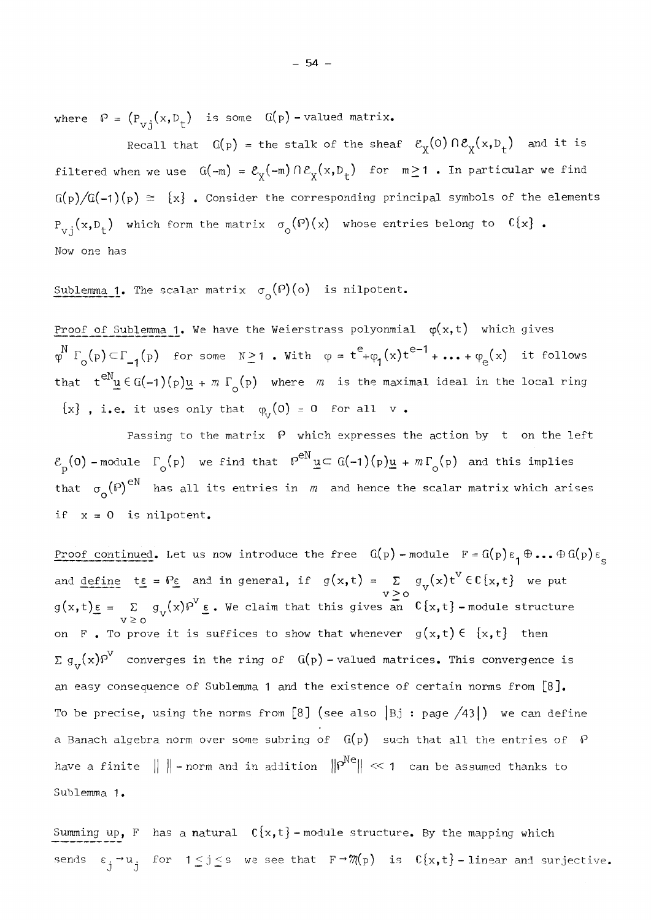where  $P = (P_{vj}(x, D_t)$  is some  $G(p)$  -valued matrix.

Recall that  $G(p)$  = the stalk of the sheaf  $\mathcal{E}_\chi(0) \cap \mathcal{E}_\chi(x,p_t)$  and it is filtered when we use  $G(-m) = \mathcal{E}_{\chi}(-m) \cap \mathcal{E}_{\chi}(x,D_t)$  for  $m \ge 1$ . In particular we find  $G(p)/G(-1)(p) \cong \{x\}$ . Consider the corresponding principal symbols of the elements  $P_{v,j}(x,D_t)$  which form the matrix  $\sigma_o(P)(x)$  whose entries belong to  $C\{x\}$ . Now one has

Sublemma 1. The scalar matrix  $\sigma_{\alpha}(\rho)(\circ)$  is nilpotent.

Proof of Sublemma 1. We have the Weierstrass polyonmial  $\varphi(x,t)$  which gives  $T_{\alpha}(p) \subset \Gamma_{\alpha}(p)$  for some  $N \geq 1$  . With  $\varphi = t^{c} + \varphi_{\alpha}(x)t^{c-1} + \cdots + \varphi_{\alpha}(x)$  it follows that  $t^{eN}u \in G(-1)(p)u + m \Gamma_o(p)$  where m is the maximal ideal in the local ring {x} , i.e. it uses only that  $\varphi_{_{\rm\bf U}}(0)$  = 0  $\,$  for all  $\,$  v  $\,$ 

Passing to the matrix  $\beta$  which expresses the action by t on the left  $\mathcal{E}_{\text{p}}(0)$  - module  $\Gamma_{\text{o}}(\text{p})$  we find that  $P^{\text{eN}}\underline{u} \subset G(-1)(\text{p})\underline{u} + m\Gamma_{\text{o}}(\text{p})$  and this implies that  $\sigma_{\alpha}(\mathcal{P})^{\text{eN}}$  has all its entries in  $m$  and hence the scalar matrix which arises if  $x = 0$  is nilpotent.

Proof continued. Let us now introduce the free  $G(p)$  -module  $F = G(p) \epsilon_1 \oplus ... \oplus G(p) \epsilon_g$ and define to  $e = \Theta e$  and in general, if  $g(x, t) = \Sigma g(x, t) t \in C(x, t)$  we put > ο  $g(x,t)\epsilon = \sum g(x)P$   $\epsilon$ . We claim that this gives an  $C\{x,t\}$  -module structure > ο on F. To prove it is suffices to show that whenever  $g(x,t) \in \{x,t\}$  then  $\sum g_{v}(x)P^{V}$  converges in the ring of  $G(p)$  - valued matrices. This convergence is an easy consequence of Sublemma 1 and the existence of certain norms from  $[8]$ . To be precise, using the norms from [8] (see also  $|Bj : page /43|$ ) we can define a Banach algebra norm over some subring of G(p) subring of G(p) such that ail that ail the entries of  $P$ have a finite || || - norm and in addition ||Ρ^|| *«* 1 can be assumed thanks to Sublemma 1.

Summing up, F has a natural  $C{x,t}$  -module structure. By the mapping which sends  $\varepsilon$   $\to$ u. for 1 $\le$ j $\le$ s we see that F $\to$   $\mathfrak{M}(\mathrm{p})$  is  $\mathbb{C}\{\mathrm{x},\mathrm{t}\}$ –linear and surjective. *3 3*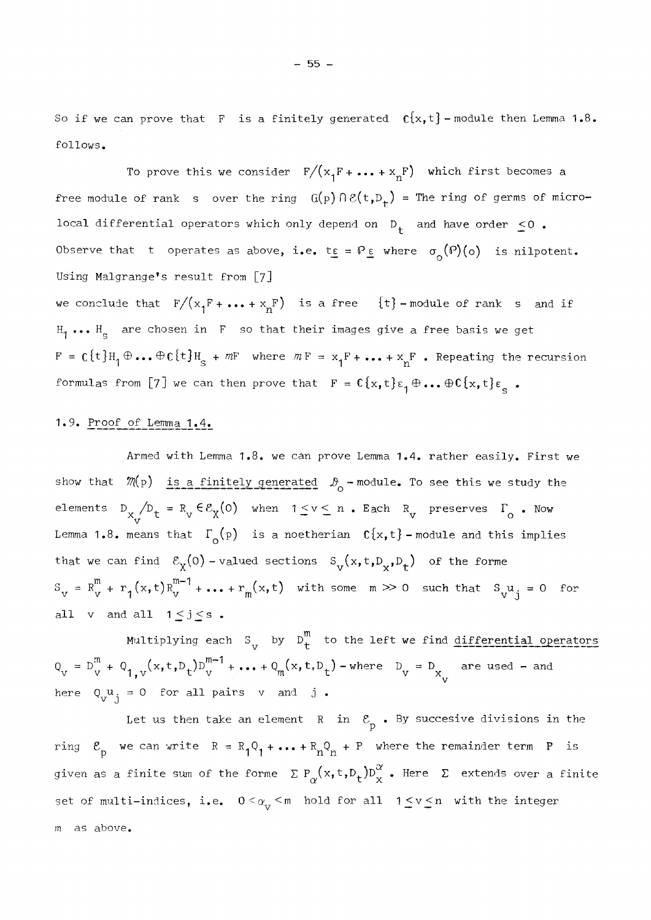So if we can prove that F is a finitely generated  $c\{x,t\}$  - module then Lemma 1.8. follows.

To prove this we consider  $\mathbb{F}/(\mathrm{x}_1\mathrm{F} + \ldots + \mathrm{x}_n\mathrm{F})$  which first becomes a free module of rank s over the ring  $G(p) \cap \mathcal{E}(t,p_{+})$  = The ring of germs of microlocal differential operators which only depend on  $D_+$  and have order  $\leq 0$ . Observe that t operates as above, i.e.  $t_{\epsilon} = P_{\epsilon}$  where  $\sigma_{o}(P)(o)$  is nilpotent. Using Malgrange's result from [7] we conclude that  $F/(x^{\text{F}} + \cdots + x^{\text{F}})$  is a free  ${\text{t}}-$  module of rank s and if  $H_1 \cdots H_s$  are chosen in F so that their images give a free basis we get  $F = C\{t\}H_1 \oplus \ldots \oplus C\{t\}H_S + mF$  where  $mF = x_1F + \ldots + x_nF$  . Repeating the recursion formulas from [7] we can then prove that  $F = C\{x, t\}\epsilon_1 \oplus \ldots \oplus C\{x, t\}\epsilon_s$ .

#### 1.9. Proof of Lemma 1.4.

Armed with Lemma 1.8· we can prove Lemma 1.4. rather easily. First we show that  $\mathcal{M}(p)$  is a finitely generated  $\mathcal{D}_{o}$  -module. To see this we study the elements  $D_{X \atop V} / D_{t} = R_{V} \in \mathcal{E}_{X}(0)$  when  $1 \leq v \leq n$  . Each  $R_{V}$  preserves  $\Gamma_{O}$  . Now Lemma 1.8. means that  $\Gamma_{\text{o}}(p)$  is a noetherian  $\mathfrak{C}\{x,t\}$  - module and this implies that we can find  $\mathcal{E}_X(0)$  - valued sections  $S_y(x,t,D_x,D_+)$  of the forme \ / v x 7 7 x<sup>7</sup>  *t'*   $S_{V}$  =  $R_{V}^{m}$  +  $r_{1}(x,t)R_{V}^{m}$  '+... +  $r_{m}(x,t)$  with some  $m \gg 0$  such that  $S_{V}u_{j} = 0$  for all v and all  $1 \leq j \leq s$ .

Multiplying each  $S_{\text{v}}$  by  $D_{\text{t}}^{\text{m}}$  to the left we find differential operators  $Q_V = D_W^m + Q_{1, V}(x, t, D_t) D_W^m + \dots + Q_m(x, t, D_t)$  - where  $D_V = D_{X \atop V}$  are used - and here  $Q_{V,1}^{\mathbf{u}} = 0$  for all pairs v and j.

Let us then take an element R in  $\mathcal{E}_p$ . By succesive divisions in the Ρ ring  $\mathcal{E}_{\text{p}}$  we can write  $\text{R} = \text{R}_{1}\text{Q}_{1} + \ldots + \text{R}_{n}\text{Q}_{n} + \text{P}$  where the remainder term  $\text{P}$  is given as a finite sum of the forme  $\sum P_{\alpha}(x,t,D_t^{\alpha})D_{x}^{\alpha}$  . Here  $\sum$  extends over a finite set of multi-indices, i.e.  $0 < \alpha_{_{\rm V}} <$ m hold for all  $1 \leq {\rm v} \leq {\rm n}$  with the integer m as above.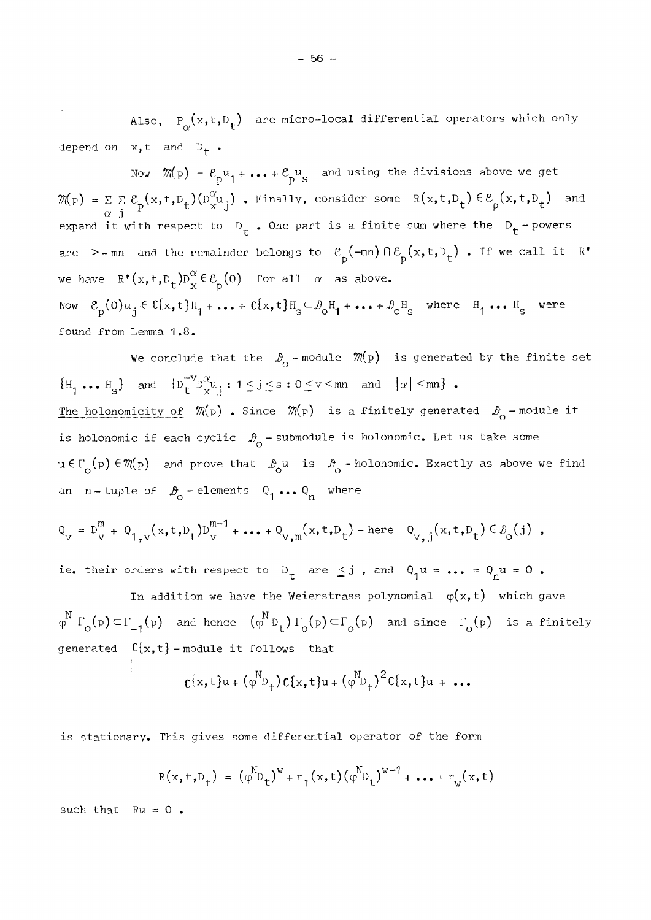Also,  $P_{\alpha}(x,t,D_t)$  are micro-local differential operators which only depend on  $x, t$  and  $D_t$ .

Now  $\mathcal{M}(p) = \mathcal{E}_{p} u_1 + \cdots + \mathcal{E}_{p} u_s$  and using the divisions above we get p i  $P > 5$  $\mathcal{M}(p) = \Sigma \Sigma \mathcal{E}_n(x,t,D_+)(D_x^{\alpha}u_i)$  . Finally, consider some  $R(x,t,D_+) \in \mathcal{E}_n(x,t,D_+)$  and *a* j P X J t t expand it with respect to  $D_t$ . One part is a finite sum where the  $D_t$  - powers are >-mn and the remainder belongs to  $\varepsilon_{\rm p}$ (-mn)  $\cap \varepsilon_{\rm p}$ (x,t,D<sub>t</sub>). If we call it R' we have  $R^{\bullet}(x,t,D_{t})D^{\alpha}_{x}\in\mathcal{E}_{p}(0)$  for all  $\alpha$  as above. Now  $\mathcal{E}_{\text{p}}(\texttt{0}){\texttt{u}}_\texttt{j}\in \texttt{C}\{\texttt{x},\texttt{t}\} \texttt{H}_\texttt{l} + \ldots + \texttt{C}\{\texttt{x},\texttt{t}\} \texttt{H}_\texttt{s} \texttt{<} \mathcal{B}_\texttt{0}\texttt{H}_\texttt{l} + \ldots + \mathcal{B}_\texttt{0}\texttt{H}_\texttt{s} \quad \text{where} \quad \texttt{H}_\texttt{l} \texttt{ ...} \texttt{H}_\texttt{s} \quad \text{were}$ found from Lemma 1.8.

We conclude that the  $\mathcal{D}_{0}$  - module  $\mathcal{M}(p)$  is generated by the finite set  $\{H_1 \ldots H_s\}$  and  $\{D_t^{-V}D^{\alpha}_{x}u_i : 1 \leq j \leq s : 0 \leq v \leq mn \text{ and } |\alpha| \leq mn\}$ . S X J \*— —\* The holonomicity of  $m(p)$  . Since  $m(p)$  is a finitely generated  $\mathcal{B}_{\alpha}$  -module it is holonomic if each cyclic  $\mathcal{D}_{\Omega}$  -submodule is holonomic. Let us take some ο u€[' (p)  $\in \mathcal{M}(p)$  and prove that  $\vartheta_{\lambda}$ u is  $\vartheta_{\lambda}$  -holonomic. Exactly as above we find an n-tuple of  $\mathcal{B}_0$ -elements  $Q_1 \ldots Q_n$  where

$$
Q_v = D_v^m + Q_{1,v}(x, t, D_t)D_v^{m-1} + ... + Q_{v,m}(x, t, D_t) -
$$
here  $Q_{v,j}(x, t, D_t) \in B_0(j)$ ,

ie. their orders with respect to  $D_t$  are  $\leq j$ , and  $Q_1u = ... = Q_nu = 0$ .

In addition we have the Weierstrass polynomial  $\varphi(x,t)$  which gave  $\varphi^N \Gamma_{\alpha}^p(p) \subset \Gamma_{-1}^p(p)$  and hence  $(\varphi^N p^+_p) \Gamma_{\alpha}^p(p) \subset \Gamma_{\alpha}^p(p)$  and since  $\Gamma_{\alpha}^p(p)$  is a finitely generated  $C{x,t}$  - module it follows that

$$
c\{x,t\}u+(\varphi^{N}D_{t})c\{x,t\}u+(\varphi^{N}D_{t})^{2}c\{x,t\}u+\ldots
$$

is stationary. This gives some differential operator of the form

$$
R(x, t, D_t) = (\varphi^{N} D_t)^{W} + r_1(x, t) (\varphi^{N} D_t)^{W-1} + \dots + r_w(x, t)
$$

such that  $Ru = 0$ .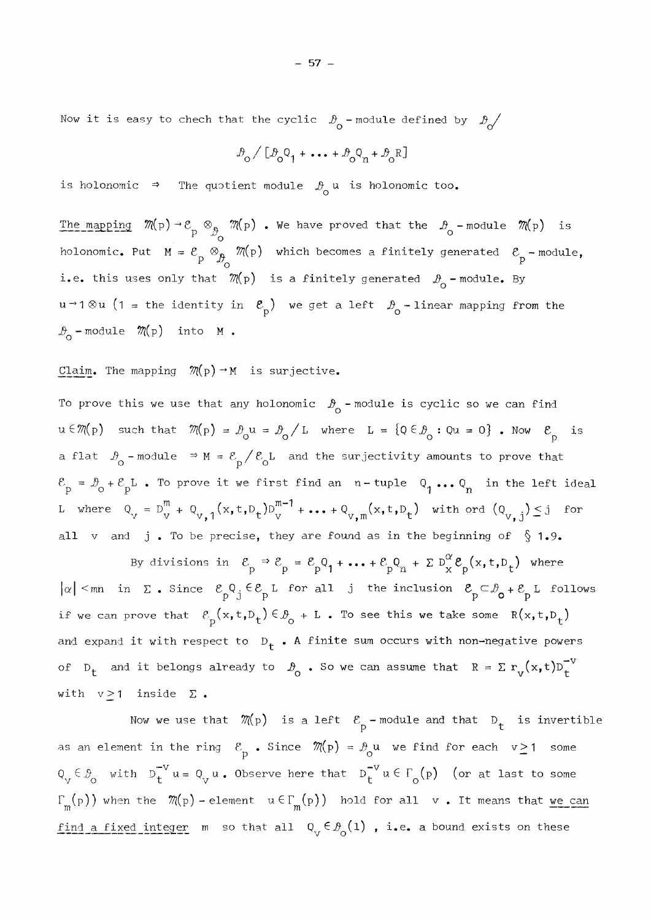Now it is easy to chech that the cyclic *β^* - module defined by *β^/* 

$$
\mathcal{P}_o \big/ \big[ \mathcal{P}_o \text{\O}_1 + \cdots + \mathcal{P}_o \text{\O}_n + \mathcal{P}_o \text{\P} \big]
$$

ο

is holonomic  $\Rightarrow$  The quotient module  $p_{\alpha}$  u is holonomic too.

The mapping  $\mathcal{M}(p) \to \mathcal{E}_p \otimes_{\mathcal{B}_Q} \mathcal{M}(p)$ . We have proved that the  $\mathcal{B}_Q$  -module  $\mathcal{M}(p)$  is  $\begin{array}{cc} \circ & \circ & \circ & \circ \end{array}$ holonomic. Put  $M = \varepsilon_p \otimes_p$  //(p) which becomes a finitely generated  $\varepsilon_p$  -module, - Ο<br>- Μ'λι του του του του του του του του i.e. this uses only that  $m(p)$  is a finitely generated  $\omega_0$  - module. By  $u \rightarrow 1 \otimes u$  (1 = the identity in  $\mathcal{E}$ <sub>p</sub>) we get a left  $\mathcal{B}$ <sub>o</sub> - linear mapping from the  $\mathcal{B}_{o}$  -module  $\mathcal{M}(p)$  into M.

### Claim. The mapping  $\mathcal{M}(p) \rightarrow M$  is surjective.

To prove this we use that any holonomic  $\mathcal{P}_{0}$  - module is cyclic so we can find  $u \in \mathcal{M}(p)$  such that  $\mathcal{M}(p) = \mathcal{B}_{0} u = \mathcal{B}_{0} / L$  where  $L = \{Q \in \mathcal{B}_{0} : Qu = 0 \}$ . Now  $\mathcal{E}_{p}$  is a flat  $\mathcal{D}_{\text{o}}$  -module  $\Rightarrow$  M =  $\mathcal{E}_{\text{p}} / \mathcal{E}_{\text{o}}$ L and the surjectivity amounts to prove that  $\mathcal{L}$  $\mathcal{E}_{\text{p}} = \mathcal{D}_{\text{o}} + \mathcal{E}_{\text{p}}$  . To prove it we first find an  $\text{n}-\text{tuple} \quad \text{Q}_{\text{p}} \text{ ... } \text{Q}_{\text{n}}$  in the left ideal L where  $Q_y = D_y^m + Q_{y,1} (x, t, D_t) D_y^m + \ldots + Q_{y, m} (x, t, D_t)$  with ord  $(Q_{y, j}) \leq j$  for all  $v$  and j. To be precise, they are found as in the beginning of  $\S$  1.9.

By divisions in  $\mathcal{E}_- \ni \mathcal{E}_- = \mathcal{E}_- \mathsf{Q}_1 + \ldots + \mathcal{E}_- \mathsf{Q}_- + \Sigma \mathsf{D}^* \mathcal{E}_- (\mathsf{x}, \mathsf{t}, \mathsf{D}_+)$  where ρ 1 η μ 1 η μ 1 η μ 1 η μ 1 η μ 1 η μ 1 η μ 1 η μ 1 η μ 1 η μ 1 η μ 1 η μ 1 η μ 1 η μ 1 η μ 1 η μ 1 η μ 1 η μ 1<br>1 η μ 1 η μ 1 η μ 1 η μ 1 η μ 1 η μ 1 η μ 1 η μ 1 η μ 1 η μ 1 η μ 1 η μ 1 η μ 1 η μ 1 η μ 1 η μ 1 η μ 1 η μ 1 |α| <mn in Σ. Since  $\mathcal{E}_p^Q$ <sub>J</sub> ∈  $\mathcal{E}_p^R$  L for all j the inclusion  $\mathcal{E}_p^C \subset \mathcal{P}_o^R$ +  $\mathcal{E}_p^R$  L follows if we can prove that  $\mathcal{E}_{\mathbf{p}}(\mathbf{x}, \mathbf{t}, \mathbf{D_t}) \in \mathcal{D}_{\mathbf{o}} + L$  . To see this we take some  $R(\mathbf{x}, \mathbf{t}, \mathbf{D_t})$ and expand it with respect to  $D_f$ . A finite sum occurs with non-negative powers of D<sub>t</sub> and it belongs already to  $\mathcal{B}_{\text{o}}$  . So we can assume that  $R = \sum r_{\text{y}}(x,t)D_{t}^{-V}$ with  $v \ge 1$  inside  $\Sigma$ .

Now we use that  $\mathcal{M}(p)$  is a left  $\mathcal{E}_p$ -module and that  $D_t$  is invertible as an element in the ring  $\mathcal{E}_{\mathbf{p}}$ . Since  $\mathcal{M}(\mathbf{p}) = \mathcal{P}_{\mathbf{Q}}\mathbf{u}$  we find for each  $v \ge 1$  some  $Q_{\mathbf{y}} \in \mathcal{B}_{\mathbf{0}}$  with  $D_{\mathbf{t}}^* u = Q_{\mathbf{y}} u$ . Observe here that  $D_{\mathbf{t}}^* u \in \Gamma_{\mathbf{0}}(\mathbf{p})$  (or at last to some  $\Gamma_m(p)$ ) when the  $\mathcal{M}(p)$  - élément  $u \in \Gamma_m(p)$ ) hold for all  $v$ . It means that we can <u>find a fixed integer</u> m so that all  $Q_{v} \in \mathcal{B}_{0}(1)$  , i.e. a bound exists on these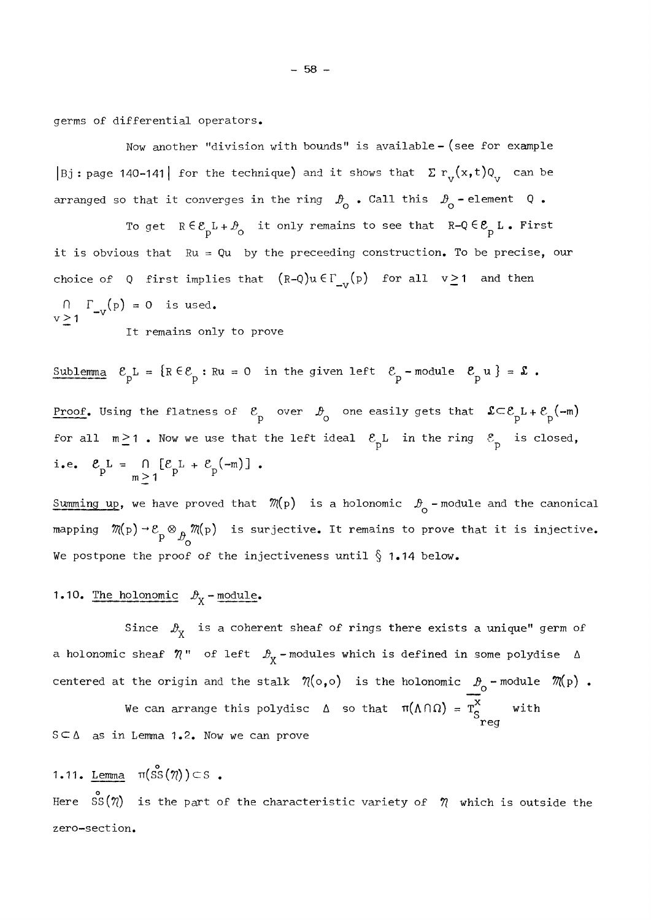germs of differential operators.

Now another "division with bounds" is available - (see for example |Bj: page 140-141| for the technique) and it shows that  $\sum r_y(x,t)Q_y$  can be arranged so that it converges in the ring  $\beta$  . Call this  $\beta$  - element Q.

To get  $R \in \mathcal{E} _{\mathrm{p}}$ L+ $\mathcal{P} _{\mathrm{O}}$  it only remains to see that  $R-\mathrm{Q} \in \mathcal{E} _{\mathrm{p}}$  L. First it is obvious that  $Ru = Qu$  by the preceeding construction. To be precise, our choice of Q first implies that  $(R-Q)u \in \Gamma_{\text{av}}(p)$  for all  $v \ge 1$  and then  $\Gamma_{-V}(p) = 0$  is used.  $\geq$  1

It remains only to prove

Sublemma 
$$
\mathcal{E}_{p}L = \{R \in \mathcal{E}_{p} : Ru = 0 \text{ in the given left } \mathcal{E}_{p} - \text{module } \mathcal{E}_{p}u\} = \mathbf{\mathbf{\mathcal{E}}.}
$$
  
\nProof. Using the flatness of  $\mathcal{E}_{p}$  over  $\mathcal{D}_{0}$  one easily gets that  $\mathbf{\mathcal{L}} \subset \mathcal{E}_{p}L + \mathcal{E}_{p}(-m)$   
\nfor all  $m \ge 1$ . Now we use that the left ideal  $\mathcal{E}_{p}L$  in the ring  $\mathcal{E}_{p}$  is closed,  
\ni.e.  $\mathcal{E}_{p}L = \bigcap_{m \ge 1} [\mathcal{E}_{p}L + \mathcal{E}_{p}(-m)]$ .

Summing up, we have proved that  $\mathcal{M}(p)$  is a holonomic  $\mathcal{D}_{o}$ -module and the canonical mapping  $\,\mathcal{M}\mathrm{(p)}\rightarrow\mathcal{E}\mathrm{_{a}}\otimes_{\mathrm{a}}\mathcal{M}\mathrm{(p)}\,$  is surjective. It remains to prove that it is injective.  $P^{\nu}$   $\sim$ We postpone the proof of the injectiveness until  $\S$  1.14 below.

### 1.10. The holonomic  $\mathcal{D}_{\mathbf{X}}$  - module.

Since  $\mathcal{P}_{\mathbf{y}}$  is a coherent sheaf of rings there exists a unique" germ of a holonomic sheaf  $\eta$ " of left  $\mathcal{D}_{\chi}$ -modules which is defined in some polydise  $\Delta$  $\mathbf{r}$ centered at the origin and the stalk  $\ \eta(\circ, \circ)$  is the holonomic  $\ \vartheta_{\!\sim}$  -module  $\ \mathscr{M}\!(p)$  .

We can arrange this polydisc  $\Delta$  so that  $\pi(\Lambda \cap \Omega) = T_c^{\wedge}$  with reg  $S \subseteq \Delta$  as in Lemma 1.2. Now we can prove

## 1.11. <u>Lemma</u>  $\pi(\overset{\mathtt{o}}{\mathtt{SS}}(\eta))\subset\mathtt{S}$  .

ο zero-section.

 $-58 -$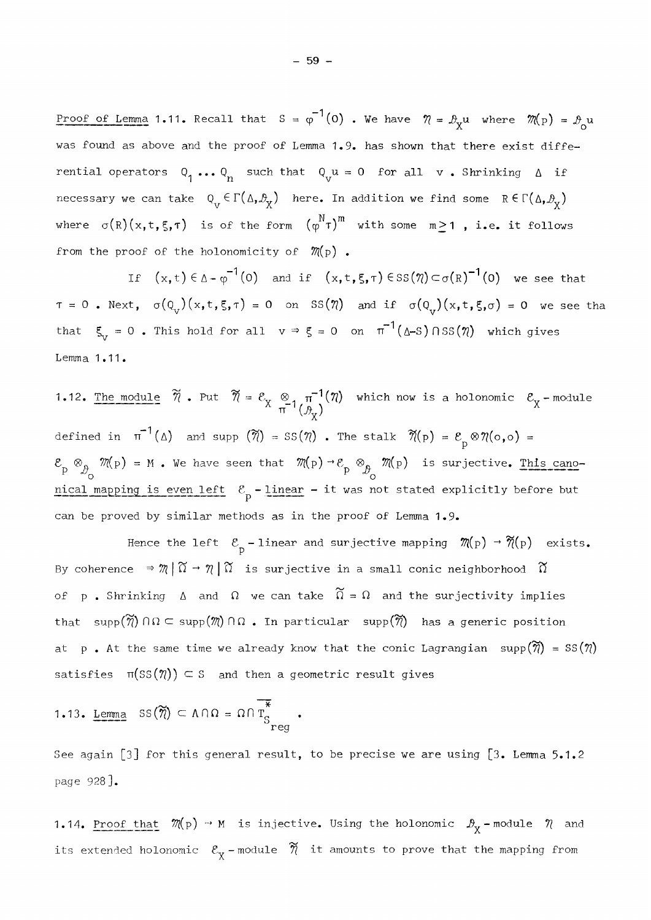Proof of Lemma 1.11. Recall that S =  $\phi$  '(0) . We have  $\eta = \mathcal{B}_{\mathbf{v}} u$  where  $\mathcal{M}(\mathrm{p})$  =  **ο**  was found as above and the proof of Lemma 1.9. has shown that there exist differential operators  $Q_1 \dots Q_n$  such that  $Q_\nu u = 0$  for all  $v \cdot$  Shrinking  $\Delta$  if necessary we can take  $Q_V \in \Gamma(\Delta,\mathcal{B}_\chi)$  here. In addition we find some  $R \in \Gamma(\Delta,\mathcal{B}_\chi)$ where  $\sigma(R)(x,t,\xi,\tau)$  is of the form  $(\phi^N \tau)^m$  with some  $m \ge 1$ , i.e. it follows from the proof of the holonomicity of  $\mathcal{M}(p)$ .

If  $(x, t) \in \Delta - \varphi^{-1}(0)$  and if  $(x, t, \xi, \tau) \in \text{SS}(\eta) \subset \sigma(R)^{-1}(0)$  we see that t,  $\sigma(0)$   $(x, t, \varepsilon, \tau) = 0$  on SS  $(\eta)$  and if  $\sigma(0)$   $(x, t, \varepsilon, \sigma) = 0$  we see that that  $\xi_{v} = 0$ . This hold for all  $v \Rightarrow \xi = 0$  on  $\pi^{-1}(\Delta - S) \cap SS(\eta)$  which gives Lemma 1.11.

1.12. The module  $7.14$   $(1.14)$   $(1.14)$   $(1.14)$ defined in  $\pi^{-1}(\Delta)$  and supp  $(\widetilde{\eta}) = \text{SS}(\eta)$ . The stalk  $\widetilde{\eta}(p) = \mathcal{E}_p \otimes \eta(o, o) =$  $\otimes_{_\textnormal{A}}$   $\mathbb{M}(\textnormal{p})$  = M . We have seen that  $\mathbb{M}(\textnormal{p})\to \mathcal{E}_{_\textnormal{p}}\otimes_{_\textnormal{A}} \mathbb{M}(\textnormal{p})$  is surjective. This cano-**P**  $\uparrow$  **b**  $\uparrow$  **c**  $\uparrow$  **c**  $\uparrow$  **c**  $\uparrow$  **c**  $\uparrow$  **c**  $\uparrow$  **c**  $\uparrow$  **c**  $\uparrow$  **c**  $\uparrow$  **c**  $\uparrow$  **c**  $\uparrow$  **c**  $\uparrow$  **c**  $\uparrow$  **c**  $\uparrow$  **c**  $\uparrow$  **c**  $\uparrow$  **c**  $\uparrow$  **c**  $\uparrow$  **c**  $\uparrow$  **c**  $\uparrow$  **c**  $\uparrow$  **c** nical mapping is even left *β -* linear - it was not stated explicitly before but can be proved by similar methods as in the proof of Lemma 1.9.

Hence the left  $\mathcal{E}_{p}$  - linear and surjective mapping  $\mathcal{M}(p) \to \mathcal{N}(p)$  exists. By coherence  $\Rightarrow$   $\mathcal{M} \mid \widetilde{\Omega} \to \mathcal{N} \mid \widetilde{\Omega}$  is surjective in a small conic neighborhood  $\widetilde{\Omega}$ of p. Shrinking  $\Delta$  and  $\Omega$  we can take  $\widetilde{\Omega} = \Omega$  and the surjectivity implies that supp $(\widetilde{\eta}) \cap \Omega \subset \text{supp}(\mathcal{M}) \cap \Omega$ . In particular supp $(\widetilde{\eta})$  has a generic position at p. At the same time we already know that the conic Lagrangian  $\text{supp}(\widetilde{\eta}) = \text{SS}(\eta)$ satisfies  $\pi(SS(\eta)) \subseteq S$  and then a geometric result gives

1.13. Lemma 
$$
SS(\widetilde{\eta}) \subset \Lambda \cap \Omega = \Omega \cap \overline{T}_{S_{reg}}^*
$$

 $\mathbf{r}$ 

See again [3] for this general result, to be precise we are using  $[3.$  Lemma 5.1.2 page 928].

1.14. <u>Proof that</u>  $\mathcal{M}(p) \to M$  is injective. Using the holonomic  $\mathcal{B}_{\chi}$ -module  $\mathcal{N}$  and its extended holonomic  $\mathscr{E}_{\mathtt{v}}$  -module  $\bar{\mathscr{\eta}}$  it amounts to prove that the mapping from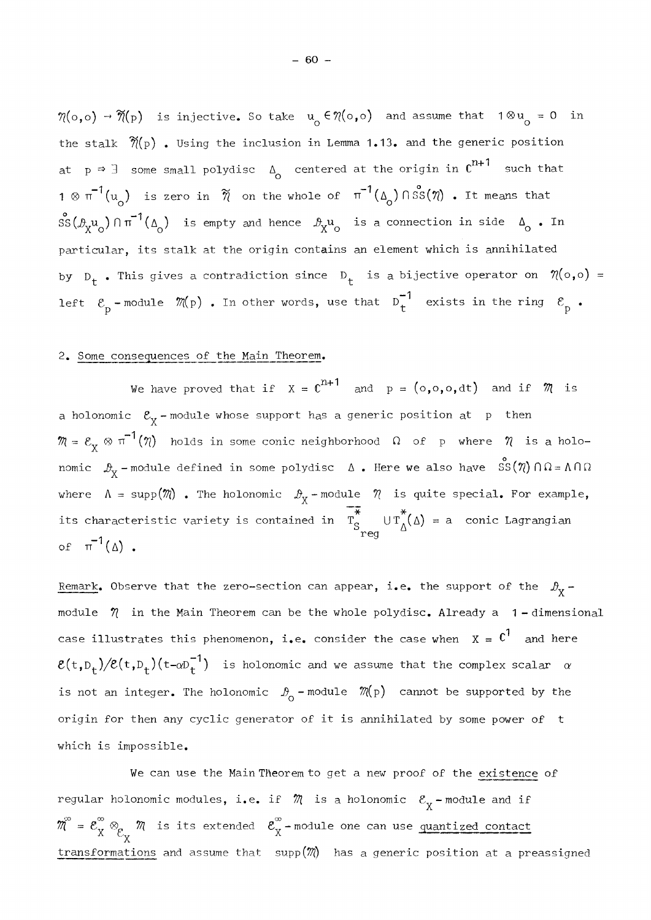$\mathcal{M}(\circ,\circ) \to \widetilde{\mathcal{M}}(\mathrm{p})$  is injective. So take  $\mathrm{u}_\circ \in \mathcal{N}(\circ,\circ)$  and assume that 10  $\mathrm{u}_\circ$  = 0 in the stalk  $\widetilde{\eta}(p)$  . Using the inclusion in Lemma 1.13. and the generic position at  $p \rightarrow \exists$  some small polydisc  $\Delta_{0}$  centered at the origin in  $C^{n+1}$  such that  $a_1 \otimes \pi^{-1}(u_0)$  is zero in  $\widetilde{n}$  on the whole of  $\pi^{-1}(\Delta_0) \cap \mathcal{SS}(\eta)$ . It means that 1 0 (u ) is zéro in **7\** on the whole o£ π"" (AQ)nss(7?) . It means that  $\frac{d}{dx}$ <sup> $\alpha$ </sup> )  $\alpha$  is empty and hence  $\frac{d}{dx}$   $\alpha$  is a connection in side  $\alpha$  . In  $X_{\alpha}$  , its stalk at the exigin contains an element which is applied: particular, its stalk at the origin contains an élément which is annihilâted by  $D_t$  . This gives a contradiction since  $D_t$  is a bijective operator on  $\eta(\circ,\circ)$  = —1 Left  $\begin{array}{cc} \n\mathbb{P} & \text{square} & \n\end{array}$   $\begin{array}{cc} \n\mathbb{P} & \n\mathbb{P} & \n\end{array}$  . In other words, use that  $\mathbb{P}$  . Consider in the ring  $\mathbb{P}$ 

### 2. Some consequences of the Main Theorem.

We have proved that if  $X = C^{n+1}$  and  $p = (o,o,o,dt)$  and if  $\mathcal{M}$  is a holonomic  $\mathcal{E}_{\mathbf{v}}$  -module whose support has a generic position at  $\mathbf{\ p}$  then  $\mathbf{v}$  $\mathcal{M} = \mathcal{E}_{\chi} \otimes \pi^{-1}(\mathcal{N})$  holds in some conic neighborhood  $\Omega$  of  $\mu$  where  $\mathcal{N}$  is a holo-*X*<br>  $\alpha$ <br>  $\beta$  *x* - module defined in some polydisc Δ. Here we also have  $\int$   $S(\eta) \cap Ω = Λ \cap Ω$ where  $\Lambda = \text{supp}(\mathcal{M})$  . The holonomic  $\mathcal{B}_{X}$  - module  $\mathcal{M}$  is quite special. For example,  $\mathbf{r}$ its characteristic variety is contained in  $T_S^{\text{U}} U T_\Delta(\Delta) = a$  conic Lagrangian of  $\pi^{-1}(\Delta)$ .

Remark. Observe that the zero-section can appear, i.e. the support of the  $\mathcal{D}_X$ module  $\eta$  in the Main Theorem can be the whole polydisc. Already a 1-dimensional case illustrates this phenomenon, i.e. consider the case when  $x = c<sup>1</sup>$  and here  $\mathcal{E}(t,\mathbb{D}_t)/\mathcal{E}(t,\mathbb{D}_t)$  (t- $\alpha\mathbb{D}_t^{-1}$ ) is holonomic and we assume that the complex scalar  $\alpha$ is not an integer. The holonomic  $\mathcal{P}_0$  - module  $\mathcal{M}(p)$  cannot be supported by the origin for then any cyclic generator of it is annihilated by some power of t which is impossible.

We can use the Main Theorem to get a new proof of the existence of regular holonomic modules, i.e. if  $\mathcal{M}$  is a holonomic  $\mathcal{E}_{\mathbf{y}}$  - module and if  $\mathbb{R}^n$  $W_0 = \mathcal{E}_X \otimes_{\mathcal{E}_X} \mathcal{W}$  is its extended  $\mathcal{E}_X$ -module one can use <u>quantized contact</u> transformations and assume that  $supp(\mathcal{M})$  has a generic position at a preassigned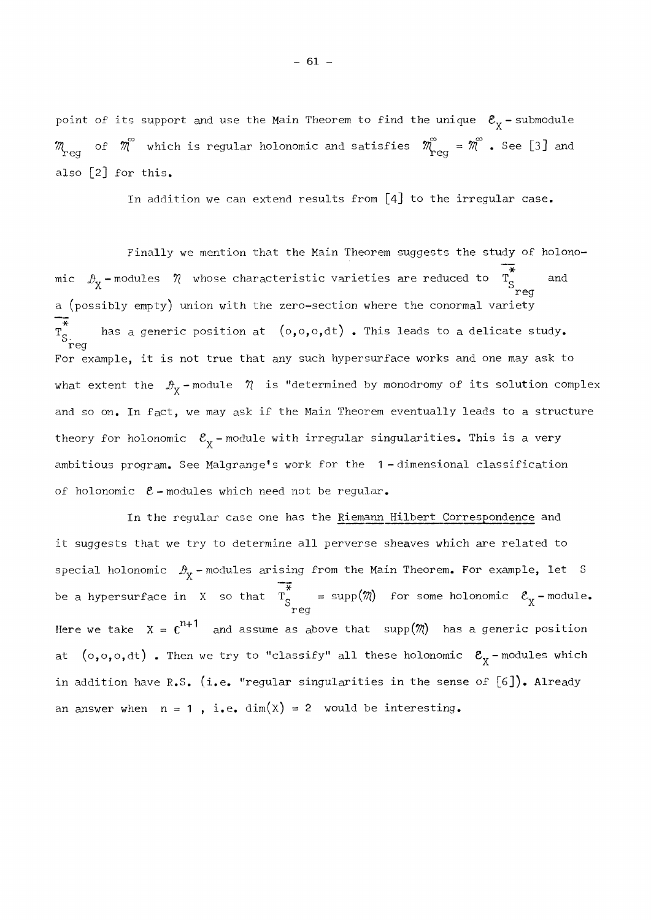point of its support and use the Main Theorem to find the unique  $\mathcal{E}_{\chi}$  - submodule  $\ddot{\phantom{0}}$  $\stackrel{\sim}{0}$  which is reqular holonomic and satisfies  $\stackrel{\sim}{\mathcal{D}}$  =  $\stackrel{\sim}{\mathcal{D}}$  . See [3] also [2] for this.

In addition we can extend results from  $\lceil 4 \rceil$  to the irregular case.

Finally we mention that the Main Theorem suggests the study of holonomic  $\mathcal{P}_{\mathbf{v}}$ -modules  $\eta$  whose characteristic varieties are reduced to T<sub>c</sub> and reg a (possibly empty) union with the zero-section where the conormal variety has a generic position at  $(o,o,o,dt)$  . This leads to a delicate study.  $T_{S_{reg}}^*$ For example, it is not true that any such hypersurface works and one may ask to what extent the  $\mathcal{P}_{\mathbf{v}}$  -module  $\mathcal{\,}\mathcal{\,}\,$  is "determined by monodromy of its solution complex  $\mathbf{v}$ and so on. In fact, we may ask if the Main Theorem eventually leads to a structure theory for holonomic  $\mathcal{E}_{\chi}$  - module with irregular singularities. This is a very ambitious program. See Malgrange1s work for the 1 - dimensional classification of holonomic  $\mathcal{E}$  - modules which need not be regular.

In the regular case one has the Riemann Hilbert Correspondence and it suggests that we try to determine all perverse sheaves which are related to special holonomic  $\mathcal{D}_{\mathbf{X}}$  - modules arising from the Main Theorem. For example, let S be a hypersurface in  $X$  so that  $T_S$  = supp( $n(j)$  for some holonomic  $C_X$  -module. reg Here we take  $X = \mathfrak{c}^{n+1}$  and assume as above that  $\text{supp}(\mathfrak{M})$  has a generic position at  $(o, o, o, dt)$  . Then we try to "classify" all these holonomic  $\mathcal{E}_{\chi}$ -modules which in addition have R.S. (i.e. "regular singularities in the sense of  $[6]$ ). Already an answer when  $n = 1$ , i.e. dim(X) = 2 would be interesting.